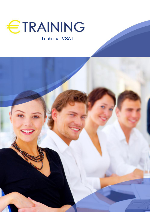

# Technical VSAT

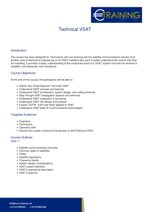

## Technical VSAT

### **Introduction:**

This course has been designed for Technicians who are entering into the satellite communications industry from another area of electronics engineering or for VSAT installers who want to better understand the system that they are installing. It provides a basic understanding of the component parts of a VSAT system and how the terminal is installed, commissioned, and maintained.

### **Course Objectives:**

At the end of this course, the participants will be able to:

- DefinE Very Small Aperture Terminals VSAT
- Understand VSAT services and features
- Understand VSAT architecture, system design, and coding schemes
- Step through VSAT propagation aspects and antennas
- Understand VSAT subsystem & launching
- Understand VSAT link design and analysis
- Explain TCP/IP, VoIP and Video applied to VSAT
- Understand VSAT-base IP communications technologies

#### **Targeted Audience:**

- Engineers
- Technicians
- Operation staff
- Anyone who needs a technical introduction to SATCOM and VSAT.

### **Course Outlines:**

**Unit 1:**

- Satellite communications overview.
- Common types of satellites,
- Orbits.
- Satellite regulations,
- Frequency bands,
- System design considerations,
- VSAT system definition
- VSAT's operational description
- VSAT Footprints